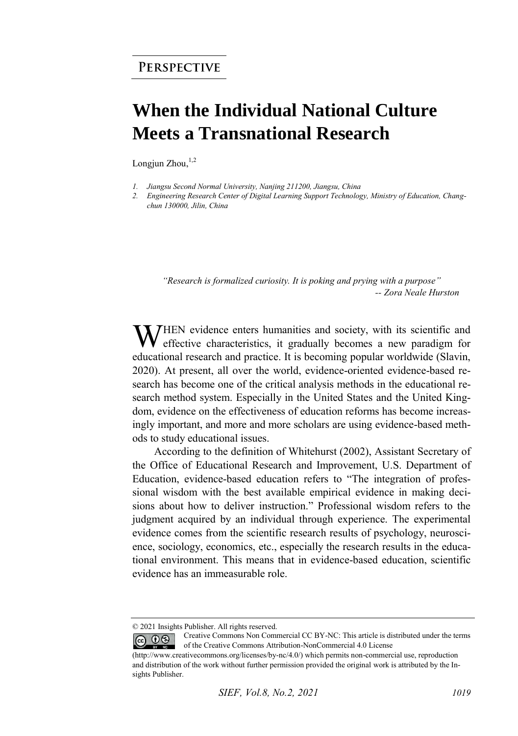## **When the Individual National Culture Meets a Transnational Research**

Longjun Zhou, $1,2$ 

*1. Jiangsu Second Normal University, Nanjing 211200, Jiangsu, China* 

*2. Engineering Research Center of Digital Learning Support Technology, Ministry of Education, Changchun 130000, Jilin, China* 

*"Research is formalized curiosity. It is poking and prying with a purpose" -- Zora Neale Hurston* 

WHEN evidence enters humanities and society, with its scientific and effective characteristics, it gradually becomes a new paradigm for effective characteristics, it gradually becomes a new paradigm for educational research and practice. It is becoming popular worldwide (Slavin, 2020). At present, all over the world, evidence-oriented evidence-based research has become one of the critical analysis methods in the educational research method system. Especially in the United States and the United Kingdom, evidence on the effectiveness of education reforms has become increasingly important, and more and more scholars are using evidence-based methods to study educational issues.

According to the definition of Whitehurst (2002), Assistant Secretary of the Office of Educational Research and Improvement, U.S. Department of Education, evidence-based education refers to "The integration of professional wisdom with the best available empirical evidence in making decisions about how to deliver instruction." Professional wisdom refers to the judgment acquired by an individual through experience. The experimental evidence comes from the scientific research results of psychology, neuroscience, sociology, economics, etc., especially the research results in the educational environment. This means that in evidence-based education, scientific evidence has an immeasurable role.

<sup>© 2021</sup> Insights Publisher. All rights reserved.

Creative Commons Non Commercial CC BY-NC: This article is distributed under the terms  $\odot$   $\odot$   $\odot$ of the Creative Commons Attribution-NonCommercial 4.0 License

<sup>(</sup>http://www.creativecommons.org/licenses/by-nc/4.0/) which permits non-commercial use, reproduction and distribution of the work without further permission provided the original work is attributed by the Insights Publisher.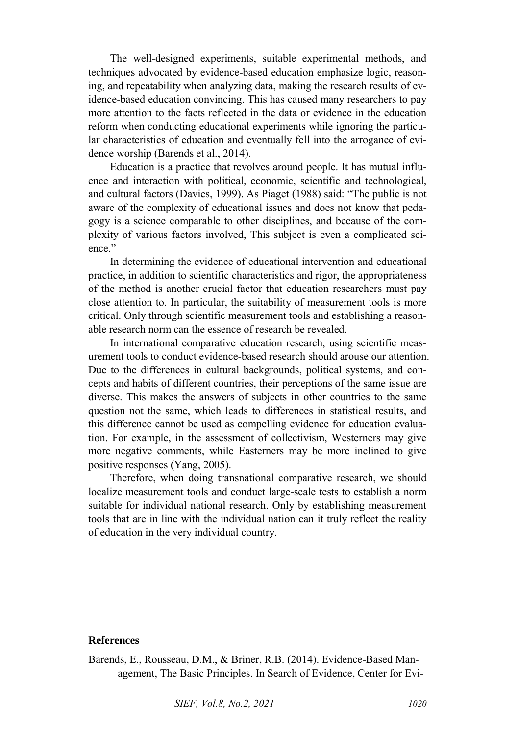The well-designed experiments, suitable experimental methods, and techniques advocated by evidence-based education emphasize logic, reasoning, and repeatability when analyzing data, making the research results of evidence-based education convincing. This has caused many researchers to pay more attention to the facts reflected in the data or evidence in the education reform when conducting educational experiments while ignoring the particular characteristics of education and eventually fell into the arrogance of evidence worship (Barends et al., 2014).

Education is a practice that revolves around people. It has mutual influence and interaction with political, economic, scientific and technological, and cultural factors (Davies, 1999). As Piaget (1988) said: "The public is not aware of the complexity of educational issues and does not know that pedagogy is a science comparable to other disciplines, and because of the complexity of various factors involved, This subject is even a complicated science."

In determining the evidence of educational intervention and educational practice, in addition to scientific characteristics and rigor, the appropriateness of the method is another crucial factor that education researchers must pay close attention to. In particular, the suitability of measurement tools is more critical. Only through scientific measurement tools and establishing a reasonable research norm can the essence of research be revealed.

In international comparative education research, using scientific measurement tools to conduct evidence-based research should arouse our attention. Due to the differences in cultural backgrounds, political systems, and concepts and habits of different countries, their perceptions of the same issue are diverse. This makes the answers of subjects in other countries to the same question not the same, which leads to differences in statistical results, and this difference cannot be used as compelling evidence for education evaluation. For example, in the assessment of collectivism, Westerners may give more negative comments, while Easterners may be more inclined to give positive responses (Yang, 2005).

Therefore, when doing transnational comparative research, we should localize measurement tools and conduct large-scale tests to establish a norm suitable for individual national research. Only by establishing measurement tools that are in line with the individual nation can it truly reflect the reality of education in the very individual country.

## **References**

Barends, E., Rousseau, D.M., & Briner, R.B. (2014). Evidence-Based Management, The Basic Principles. In Search of Evidence, Center for Evi